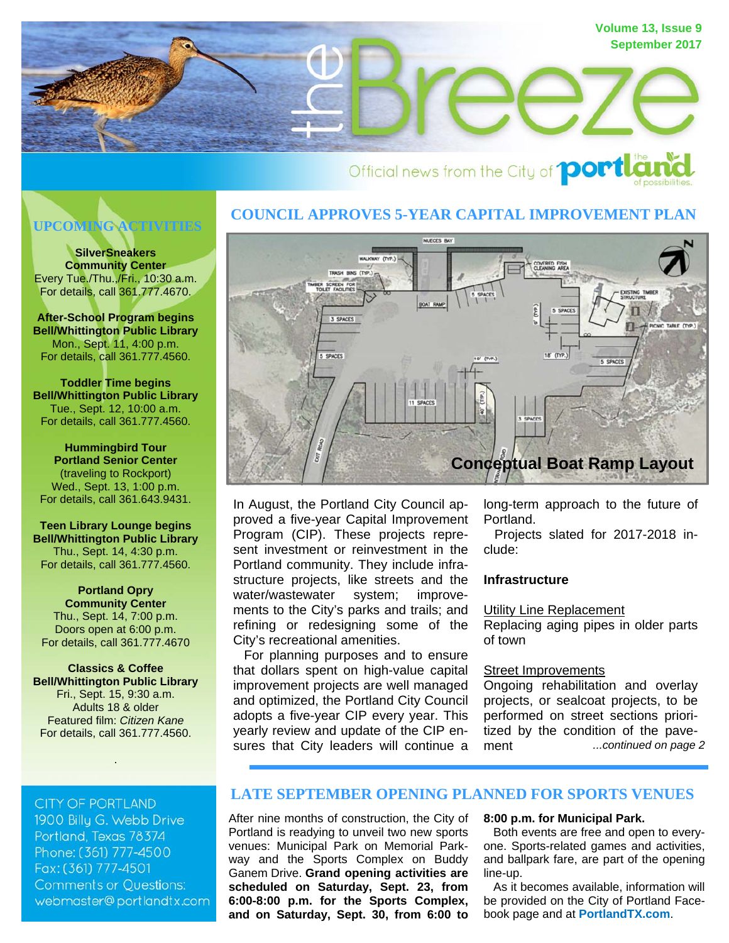

# Official news from the City of **portla**

# **UPCOMING ACTIVITIES**

**SilverSneakers Community Center**  Every Tue./Thu.,/Fri., 10:30 a.m. For details, call 361.777.4670.

**After-School Program begins Bell/Whittington Public Library**  Mon., Sept. 11, 4:00 p.m. For details, call 361.777.4560.

**Toddler Time begins Bell/Whittington Public Library**  Tue., Sept. 12, 10:00 a.m. For details, call 361.777.4560.

**Hummingbird Tour Portland Senior Center**  (traveling to Rockport) Wed., Sept. 13, 1:00 p.m. For details, call 361.643.9431.

**Teen Library Lounge begins Bell/Whittington Public Library**  Thu., Sept. 14, 4:30 p.m. For details, call 361.777.4560.

**Portland Opry Community Center**  Thu., Sept. 14, 7:00 p.m. Doors open at 6:00 p.m. For details, call 361.777.4670

**Classics & Coffee Bell/Whittington Public Library**  Fri., Sept. 15, 9:30 a.m. Adults 18 & older Featured film: *Citizen Kane* For details, call 361.777.4560.

.

**CITY OF PORTLAND** 

1900 Billy G. Webb Drive Portland, Texas 78374 Phone: (361) 777-4500 Fax: (361) 777-4501 **Comments or Questions:** webmaster@portlandtx.com

## **COUNCIL APPROVES 5-YEAR CAPITAL IMPROVEMENT PLAN**



In August, the Portland City Council approved a five-year Capital Improvement Program (CIP). These projects represent investment or reinvestment in the Portland community. They include infrastructure projects, like streets and the water/wastewater system; improvements to the City's parks and trails; and refining or redesigning some of the City's recreational amenities.

 For planning purposes and to ensure that dollars spent on high-value capital improvement projects are well managed and optimized, the Portland City Council adopts a five-year CIP every year. This yearly review and update of the CIP ensures that City leaders will continue a

long-term approach to the future of Portland.

 Projects slated for 2017-2018 include:

#### **Infrastructure**

Utility Line Replacement

Replacing aging pipes in older parts of town

#### Street Improvements

*...continued on page 2* Ongoing rehabilitation and overlay projects, or sealcoat projects, to be performed on street sections prioritized by the condition of the pavement

## **LATE SEPTEMBER OPENING PLANNED FOR SPORTS VENUES**

After nine months of construction, the City of Portland is readying to unveil two new sports venues: Municipal Park on Memorial Parkway and the Sports Complex on Buddy Ganem Drive. **Grand opening activities are scheduled on Saturday, Sept. 23, from 6:00-8:00 p.m. for the Sports Complex, and on Saturday, Sept. 30, from 6:00 to** 

#### **8:00 p.m. for Municipal Park.**

 Both events are free and open to everyone. Sports-related games and activities, and ballpark fare, are part of the opening line-up.

 As it becomes available, information will be provided on the City of Portland Facebook page and at **PortlandTX.com**.